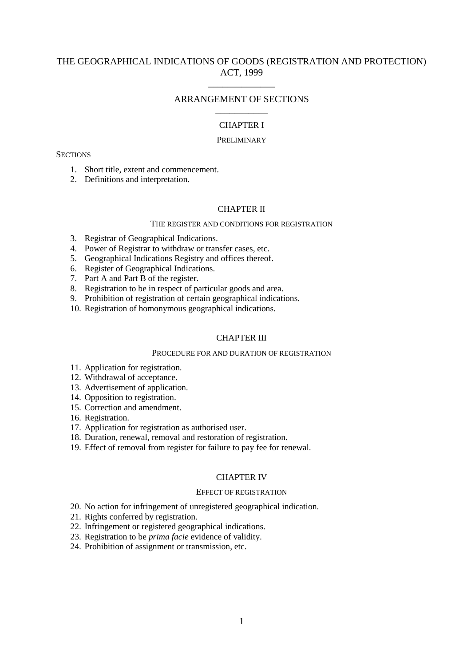# THE GEOGRAPHICAL INDICATIONS OF GOODS (REGISTRATION AND PROTECTION) ACT, 1999

# \_\_\_\_\_\_\_\_\_\_\_\_\_\_ ARRANGEMENT OF SECTIONS \_\_\_\_\_\_\_\_\_\_\_

# CHAPTER I

### **PRELIMINARY**

# **SECTIONS**

- 1. Short title, extent and commencement.
- 2. Definitions and interpretation.

#### CHAPTER II

#### THE REGISTER AND CONDITIONS FOR REGISTRATION

- 3. Registrar of Geographical Indications.
- 4. Power of Registrar to withdraw or transfer cases, etc.
- 5. Geographical Indications Registry and offices thereof.
- 6. Register of Geographical Indications.
- 7. Part A and Part B of the register.
- 8. Registration to be in respect of particular goods and area.
- 9. Prohibition of registration of certain geographical indications.
- 10. Registration of homonymous geographical indications.

### CHAPTER III

### PROCEDURE FOR AND DURATION OF REGISTRATION

- 11. Application for registration.
- 12. Withdrawal of acceptance.
- 13. Advertisement of application.
- 14. Opposition to registration.
- 15. Correction and amendment.
- 16. Registration.
- 17. Application for registration as authorised user.
- 18. Duration, renewal, removal and restoration of registration.
- 19. Effect of removal from register for failure to pay fee for renewal.

#### CHAPTER IV

### EFFECT OF REGISTRATION

- 20. No action for infringement of unregistered geographical indication.
- 21. Rights conferred by registration.
- 22. Infringement or registered geographical indications.
- 23. Registration to be *prima facie* evidence of validity.
- 24. Prohibition of assignment or transmission, etc.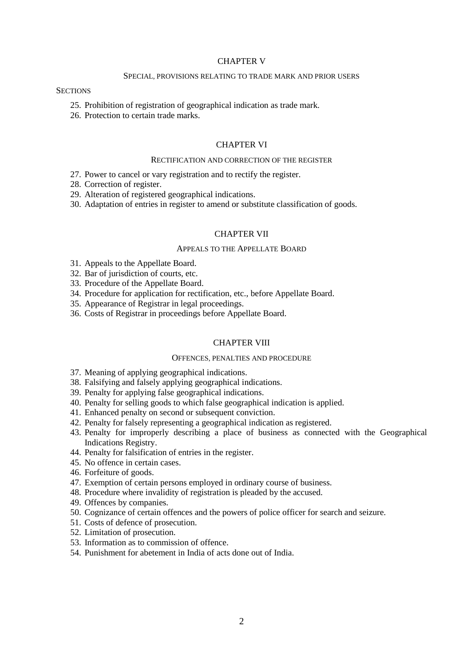# CHAPTER V

### SPECIAL, PROVISIONS RELATING TO TRADE MARK AND PRIOR USERS

#### **SECTIONS**

- 25. Prohibition of registration of geographical indication as trade mark.
- 26. Protection to certain trade marks.

### CHAPTER VI

#### RECTIFICATION AND CORRECTION OF THE REGISTER

- 27. Power to cancel or vary registration and to rectify the register.
- 28. Correction of register.
- 29. Alteration of registered geographical indications.
- 30. Adaptation of entries in register to amend or substitute classification of goods.

## CHAPTER VII

### APPEALS TO THE APPELLATE BOARD

- 31. Appeals to the Appellate Board.
- 32. Bar of jurisdiction of courts, etc.
- 33. Procedure of the Appellate Board.
- 34. Procedure for application for rectification, etc., before Appellate Board.
- 35. Appearance of Registrar in legal proceedings.
- 36. Costs of Registrar in proceedings before Appellate Board.

# CHAPTER VIII

#### OFFENCES, PENALTIES AND PROCEDURE

- 37. Meaning of applying geographical indications.
- 38. Falsifying and falsely applying geographical indications.
- 39. Penalty for applying false geographical indications.
- 40. Penalty for selling goods to which false geographical indication is applied.
- 41. Enhanced penalty on second or subsequent conviction.
- 42. Penalty for falsely representing a geographical indication as registered.
- 43. Penalty for improperly describing a place of business as connected with the Geographical Indications Registry.
- 44. Penalty for falsification of entries in the register.
- 45. No offence in certain cases.
- 46. Forfeiture of goods.
- 47. Exemption of certain persons employed in ordinary course of business.
- 48. Procedure where invalidity of registration is pleaded by the accused.
- 49. Offences by companies.
- 50. Cognizance of certain offences and the powers of police officer for search and seizure.
- 51. Costs of defence of prosecution.
- 52. Limitation of prosecution.
- 53. Information as to commission of offence.
- 54. Punishment for abetement in India of acts done out of India.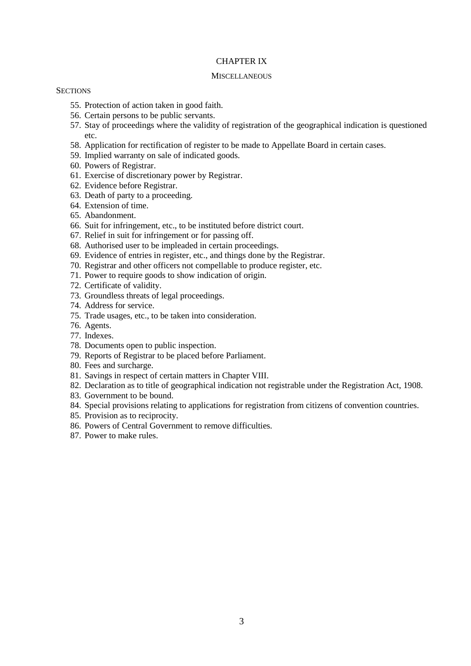# CHAPTER IX

### **MISCELLANEOUS**

## **SECTIONS**

- 55. Protection of action taken in good faith.
- 56. Certain persons to be public servants.
- 57. Stay of proceedings where the validity of registration of the geographical indication is questioned etc.
- 58. Application for rectification of register to be made to Appellate Board in certain cases.
- 59. Implied warranty on sale of indicated goods.
- 60. Powers of Registrar.
- 61. Exercise of discretionary power by Registrar.
- 62. Evidence before Registrar.
- 63. Death of party to a proceeding.
- 64. Extension of time.
- 65. Abandonment.
- 66. Suit for infringement, etc., to be instituted before district court.
- 67. Relief in suit for infringement or for passing off.
- 68. Authorised user to be impleaded in certain proceedings.
- 69. Evidence of entries in register, etc., and things done by the Registrar.
- 70. Registrar and other officers not compellable to produce register, etc.
- 71. Power to require goods to show indication of origin.
- 72. Certificate of validity.
- 73. Groundless threats of legal proceedings.
- 74. Address for service.
- 75. Trade usages, etc., to be taken into consideration.
- 76. Agents.
- 77. Indexes.
- 78. Documents open to public inspection.
- 79. Reports of Registrar to be placed before Parliament.
- 80. Fees and surcharge.
- 81. Savings in respect of certain matters in Chapter VIII.
- 82. Declaration as to title of geographical indication not registrable under the Registration Act, 1908.
- 83. Government to be bound.
- 84. Special provisions relating to applications for registration from citizens of convention countries.
- 85. Provision as to reciprocity.
- 86. Powers of Central Government to remove difficulties.
- 87. Power to make rules.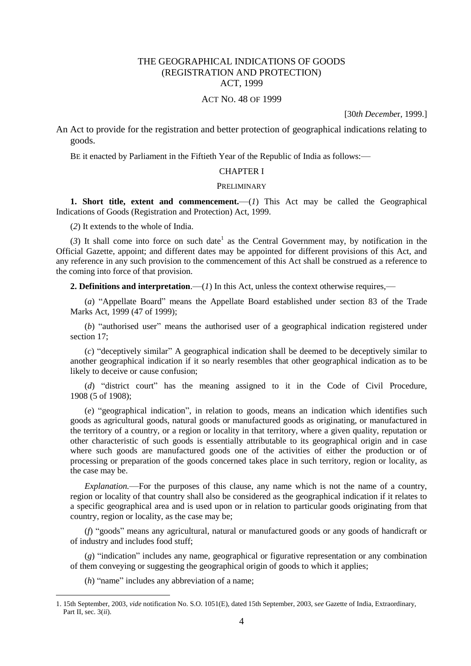# THE GEOGRAPHICAL INDICATIONS OF GOODS (REGISTRATION AND PROTECTION) ACT, 1999

## ACT NO. 48 OF 1999

[30*th Decembe*r, 1999.]

An Act to provide for the registration and better protection of geographical indications relating to goods.

BE it enacted by Parliament in the Fiftieth Year of the Republic of India as follows:—

#### CHAPTER I

#### PRELIMINARY

**1. Short title, extent and commencement.**—( $I$ ) This Act may be called the Geographical Indications of Goods (Registration and Protection) Act, 1999.

(*2*) It extends to the whole of India.

 $(3)$  It shall come into force on such date<sup>1</sup> as the Central Government may, by notification in the Official Gazette, appoint; and different dates may be appointed for different provisions of this Act, and any reference in any such provision to the commencement of this Act shall be construed as a reference to the coming into force of that provision.

**2. Definitions and interpretation.**—(*1*) In this Act, unless the context otherwise requires,—

(*a*) "Appellate Board" means the Appellate Board established under section 83 of the Trade Marks Act, 1999 (47 of 1999);

(*b*) "authorised user" means the authorised user of a geographical indication registered under section 17;

(*c*) "deceptively similar" A geographical indication shall be deemed to be deceptively similar to another geographical indication if it so nearly resembles that other geographical indication as to be likely to deceive or cause confusion;

(*d*) "district court" has the meaning assigned to it in the Code of Civil Procedure, 1908 (5 of 1908);

(*e*) "geographical indication", in relation to goods, means an indication which identifies such goods as agricultural goods, natural goods or manufactured goods as originating, or manufactured in the territory of a country, or a region or locality in that territory, where a given quality, reputation or other characteristic of such goods is essentially attributable to its geographical origin and in case where such goods are manufactured goods one of the activities of either the production or of processing or preparation of the goods concerned takes place in such territory, region or locality, as the case may be.

*Explanation.*—For the purposes of this clause, any name which is not the name of a country, region or locality of that country shall also be considered as the geographical indication if it relates to a specific geographical area and is used upon or in relation to particular goods originating from that country, region or locality, as the case may be;

(*f*) "goods" means any agricultural, natural or manufactured goods or any goods of handicraft or of industry and includes food stuff;

(*g*) "indication" includes any name, geographical or figurative representation or any combination of them conveying or suggesting the geographical origin of goods to which it applies;

(*h*) "name" includes any abbreviation of a name;

 $\overline{a}$ 

<sup>1. 15</sup>th September, 2003, *vide* notification No. S.O. 1051(E), dated 15th September, 2003, s*ee* Gazette of India, Extraordinary, Part II, sec. 3(*ii*).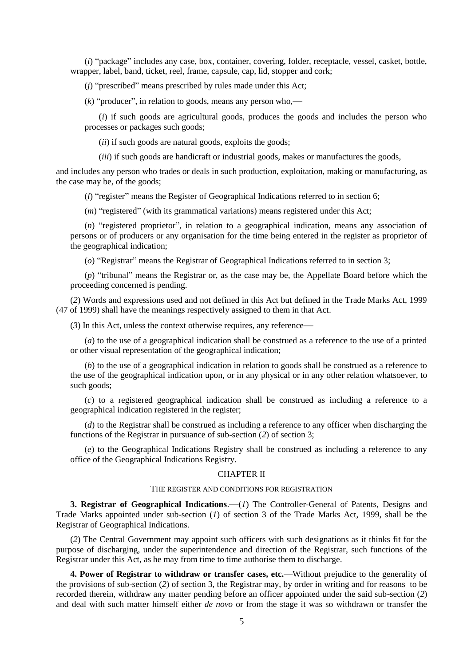(*i*) "package" includes any case, box, container, covering, folder, receptacle, vessel, casket, bottle, wrapper, label, band, ticket, reel, frame, capsule, cap, lid, stopper and cork;

(*j*) "prescribed" means prescribed by rules made under this Act;

 $(k)$  "producer", in relation to goods, means any person who,—

(*i*) if such goods are agricultural goods, produces the goods and includes the person who processes or packages such goods;

(*ii*) if such goods are natural goods, exploits the goods;

(*iii*) if such goods are handicraft or industrial goods, makes or manufactures the goods,

and includes any person who trades or deals in such production, exploitation, making or manufacturing, as the case may be, of the goods;

(*l*) "register" means the Register of Geographical Indications referred to in section 6;

(*m*) "registered" (with its grammatical variations) means registered under this Act;

(*n*) "registered proprietor", in relation to a geographical indication, means any association of persons or of producers or any organisation for the time being entered in the register as proprietor of the geographical indication;

(*o*) "Registrar" means the Registrar of Geographical Indications referred to in section 3;

(*p*) "tribunal" means the Registrar or, as the case may be, the Appellate Board before which the proceeding concerned is pending.

(*2*) Words and expressions used and not defined in this Act but defined in the Trade Marks Act, 1999 (47 of 1999) shall have the meanings respectively assigned to them in that Act.

(*3*) In this Act, unless the context otherwise requires, any reference—

(*a*) to the use of a geographical indication shall be construed as a reference to the use of a printed or other visual representation of the geographical indication;

(*b*) to the use of a geographical indication in relation to goods shall be construed as a reference to the use of the geographical indication upon, or in any physical or in any other relation whatsoever, to such goods;

(*c*) to a registered geographical indication shall be construed as including a reference to a geographical indication registered in the register;

(*d*) to the Registrar shall be construed as including a reference to any officer when discharging the functions of the Registrar in pursuance of sub-section (*2*) of section 3;

(*e*) to the Geographical Indications Registry shall be construed as including a reference to any office of the Geographical Indications Registry.

# CHAPTER II

# THE REGISTER AND CONDITIONS FOR REGISTRATION

**3. Registrar of Geographical Indications**.—(*1*) The Controller-General of Patents, Designs and Trade Marks appointed under sub-section (*1*) of section 3 of the Trade Marks Act, 1999, shall be the Registrar of Geographical Indications.

(*2*) The Central Government may appoint such officers with such designations as it thinks fit for the purpose of discharging, under the superintendence and direction of the Registrar, such functions of the Registrar under this Act, as he may from time to time authorise them to discharge.

**4. Power of Registrar to withdraw or transfer cases, etc.**—Without prejudice to the generality of the provisions of sub-section (*2*) of section 3, the Registrar may, by order in writing and for reasons to be recorded therein, withdraw any matter pending before an officer appointed under the said sub-section (*2*) and deal with such matter himself either *de novo* or from the stage it was so withdrawn or transfer the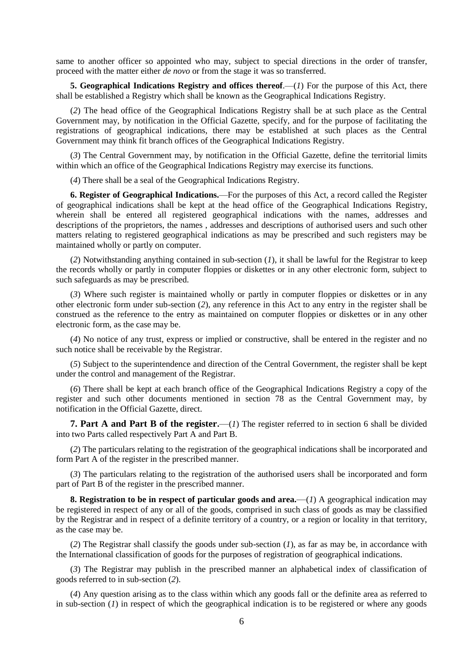same to another officer so appointed who may, subject to special directions in the order of transfer, proceed with the matter either *de novo* or from the stage it was so transferred.

**5. Geographical Indications Registry and offices thereof**.—(*1*) For the purpose of this Act, there shall be established a Registry which shall be known as the Geographical Indications Registry.

(*2*) The head office of the Geographical Indications Registry shall be at such place as the Central Government may, by notification in the Official Gazette, specify, and for the purpose of facilitating the registrations of geographical indications, there may be established at such places as the Central Government may think fit branch offices of the Geographical Indications Registry.

(*3*) The Central Government may, by notification in the Official Gazette, define the territorial limits within which an office of the Geographical Indications Registry may exercise its functions.

(*4*) There shall be a seal of the Geographical Indications Registry.

**6. Register of Geographical Indications.**—For the purposes of this Act, a record called the Register of geographical indications shall be kept at the head office of the Geographical Indications Registry, wherein shall be entered all registered geographical indications with the names, addresses and descriptions of the proprietors, the names , addresses and descriptions of authorised users and such other matters relating to registered geographical indications as may be prescribed and such registers may be maintained wholly or partly on computer.

(*2*) Notwithstanding anything contained in sub-section (*1*), it shall be lawful for the Registrar to keep the records wholly or partly in computer floppies or diskettes or in any other electronic form, subject to such safeguards as may be prescribed.

(*3*) Where such register is maintained wholly or partly in computer floppies or diskettes or in any other electronic form under sub-section (*2*), any reference in this Act to any entry in the register shall be construed as the reference to the entry as maintained on computer floppies or diskettes or in any other electronic form, as the case may be.

(*4*) No notice of any trust, express or implied or constructive, shall be entered in the register and no such notice shall be receivable by the Registrar.

(*5*) Subject to the superintendence and direction of the Central Government, the register shall be kept under the control and management of the Registrar.

(*6*) There shall be kept at each branch office of the Geographical Indications Registry a copy of the register and such other documents mentioned in section 78 as the Central Government may, by notification in the Official Gazette, direct.

**7. Part A and Part B of the register.**—(*1*) The register referred to in section 6 shall be divided into two Parts called respectively Part A and Part B.

(*2*) The particulars relating to the registration of the geographical indications shall be incorporated and form Part A of the register in the prescribed manner.

(*3*) The particulars relating to the registration of the authorised users shall be incorporated and form part of Part B of the register in the prescribed manner.

**8. Registration to be in respect of particular goods and area.**—(*1*) A geographical indication may be registered in respect of any or all of the goods, comprised in such class of goods as may be classified by the Registrar and in respect of a definite territory of a country, or a region or locality in that territory, as the case may be.

(*2*) The Registrar shall classify the goods under sub-section (*1*), as far as may be, in accordance with the International classification of goods for the purposes of registration of geographical indications.

(*3*) The Registrar may publish in the prescribed manner an alphabetical index of classification of goods referred to in sub-section (*2*).

(*4*) Any question arising as to the class within which any goods fall or the definite area as referred to in sub-section (*1*) in respect of which the geographical indication is to be registered or where any goods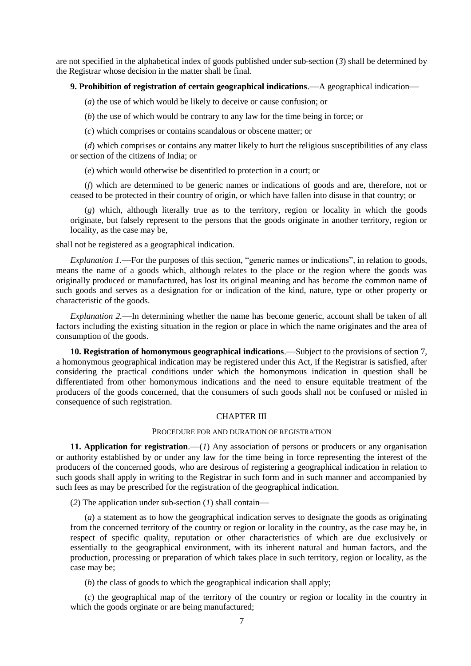are not specified in the alphabetical index of goods published under sub-section (*3*) shall be determined by the Registrar whose decision in the matter shall be final.

#### **9. Prohibition of registration of certain geographical indications**.—A geographical indication—

(*a*) the use of which would be likely to deceive or cause confusion; or

(*b*) the use of which would be contrary to any law for the time being in force; or

(*c*) which comprises or contains scandalous or obscene matter; or

(*d*) which comprises or contains any matter likely to hurt the religious susceptibilities of any class or section of the citizens of India; or

(*e*) which would otherwise be disentitled to protection in a court; or

(*f*) which are determined to be generic names or indications of goods and are, therefore, not or ceased to be protected in their country of origin, or which have fallen into disuse in that country; or

(*g*) which, although literally true as to the territory, region or locality in which the goods originate, but falsely represent to the persons that the goods originate in another territory, region or locality, as the case may be,

shall not be registered as a geographical indication.

*Explanation 1*.—For the purposes of this section, "generic names or indications", in relation to goods, means the name of a goods which, although relates to the place or the region where the goods was originally produced or manufactured, has lost its original meaning and has become the common name of such goods and serves as a designation for or indication of the kind, nature, type or other property or characteristic of the goods.

*Explanation 2.*—In determining whether the name has become generic, account shall be taken of all factors including the existing situation in the region or place in which the name originates and the area of consumption of the goods.

**10. Registration of homonymous geographical indications**.—Subject to the provisions of section 7, a homonymous geographical indication may be registered under this Act, if the Registrar is satisfied, after considering the practical conditions under which the homonymous indication in question shall be differentiated from other homonymous indications and the need to ensure equitable treatment of the producers of the goods concerned, that the consumers of such goods shall not be confused or misled in consequence of such registration.

# CHAPTER III

# PROCEDURE FOR AND DURATION OF REGISTRATION

11. Application for registration.—(*1*) Any association of persons or producers or any organisation or authority established by or under any law for the time being in force representing the interest of the producers of the concerned goods, who are desirous of registering a geographical indication in relation to such goods shall apply in writing to the Registrar in such form and in such manner and accompanied by such fees as may be prescribed for the registration of the geographical indication.

(*2*) The application under sub-section (*1*) shall contain—

(*a*) a statement as to how the geographical indication serves to designate the goods as originating from the concerned territory of the country or region or locality in the country, as the case may be, in respect of specific quality, reputation or other characteristics of which are due exclusively or essentially to the geographical environment, with its inherent natural and human factors, and the production, processing or preparation of which takes place in such territory, region or locality, as the case may be;

(*b*) the class of goods to which the geographical indication shall apply;

(*c*) the geographical map of the territory of the country or region or locality in the country in which the goods orginate or are being manufactured;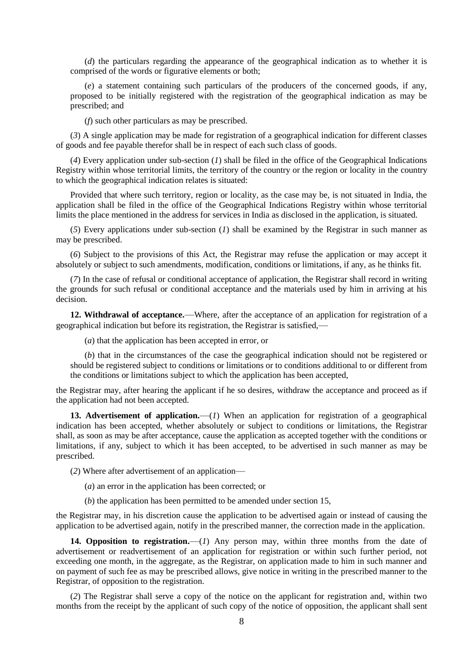(*d*) the particulars regarding the appearance of the geographical indication as to whether it is comprised of the words or figurative elements or both;

(*e*) a statement containing such particulars of the producers of the concerned goods, if any, proposed to be initially registered with the registration of the geographical indication as may be prescribed; and

(*f*) such other particulars as may be prescribed.

(*3*) A single application may be made for registration of a geographical indication for different classes of goods and fee payable therefor shall be in respect of each such class of goods.

(*4*) Every application under sub-section (*1*) shall be filed in the office of the Geographical Indications Registry within whose territorial limits, the territory of the country or the region or locality in the country to which the geographical indication relates is situated:

Provided that where such territory, region or locality, as the case may be, is not situated in India, the application shall be filed in the office of the Geographical Indications Registry within whose territorial limits the place mentioned in the address for services in India as disclosed in the application, is situated.

(*5*) Every applications under sub-section (*1*) shall be examined by the Registrar in such manner as may be prescribed.

(*6*) Subject to the provisions of this Act, the Registrar may refuse the application or may accept it absolutely or subject to such amendments, modification, conditions or limitations, if any, as he thinks fit.

(*7*) In the case of refusal or conditional acceptance of application, the Registrar shall record in writing the grounds for such refusal or conditional acceptance and the materials used by him in arriving at his decision.

**12. Withdrawal of acceptance.**—Where, after the acceptance of an application for registration of a geographical indication but before its registration, the Registrar is satisfied,—

(*a*) that the application has been accepted in error, or

(*b*) that in the circumstances of the case the geographical indication should not be registered or should be registered subject to conditions or limitations or to conditions additional to or different from the conditions or limitations subject to which the application has been accepted,

the Registrar may, after hearing the applicant if he so desires, withdraw the acceptance and proceed as if the application had not been accepted.

**13. Advertisement of application.**—(*1*) When an application for registration of a geographical indication has been accepted, whether absolutely or subject to conditions or limitations, the Registrar shall, as soon as may be after acceptance, cause the application as accepted together with the conditions or limitations, if any, subject to which it has been accepted, to be advertised in such manner as may be prescribed.

(*2*) Where after advertisement of an application—

(*a*) an error in the application has been corrected; or

(*b*) the application has been permitted to be amended under section 15,

the Registrar may, in his discretion cause the application to be advertised again or instead of causing the application to be advertised again, notify in the prescribed manner, the correction made in the application.

**14. Opposition to registration.**—(*1*) Any person may, within three months from the date of advertisement or readvertisement of an application for registration or within such further period, not exceeding one month, in the aggregate, as the Registrar, on application made to him in such manner and on payment of such fee as may be prescribed allows, give notice in writing in the prescribed manner to the Registrar, of opposition to the registration.

(*2*) The Registrar shall serve a copy of the notice on the applicant for registration and, within two months from the receipt by the applicant of such copy of the notice of opposition, the applicant shall sent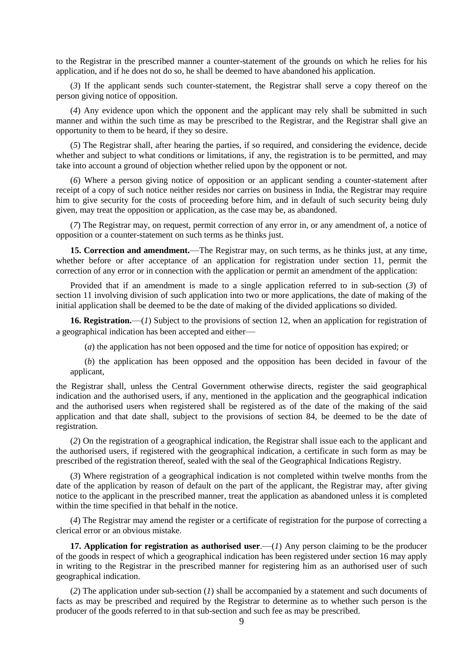to the Registrar in the prescribed manner a counter-statement of the grounds on which he relies for his application, and if he does not do so, he shall be deemed to have abandoned his application.

(*3*) If the applicant sends such counter-statement, the Registrar shall serve a copy thereof on the person giving notice of opposition.

(*4*) Any evidence upon which the opponent and the applicant may rely shall be submitted in such manner and within the such time as may be prescribed to the Registrar, and the Registrar shall give an opportunity to them to be heard, if they so desire.

(*5*) The Registrar shall, after hearing the parties, if so required, and considering the evidence, decide whether and subject to what conditions or limitations, if any, the registration is to be permitted, and may take into account a ground of objection whether relied upon by the opponent or not.

(*6*) Where a person giving notice of opposition or an applicant sending a counter-statement after receipt of a copy of such notice neither resides nor carries on business in India, the Registrar may require him to give security for the costs of proceeding before him, and in default of such security being duly given, may treat the opposition or application, as the case may be, as abandoned.

(*7*) The Registrar may, on request, permit correction of any error in, or any amendment of, a notice of opposition or a counter-statement on such terms as he thinks just.

**15. Correction and amendment.**—The Registrar may, on such terms, as he thinks just, at any time, whether before or after acceptance of an application for registration under section 11, permit the correction of any error or in connection with the application or permit an amendment of the application:

Provided that if an amendment is made to a single application referred to in sub-section (*3*) of section 11 involving division of such application into two or more applications, the date of making of the initial application shall be deemed to be the date of making of the divided applications so divided.

**16. Registration.**—(*1*) Subject to the provisions of section 12, when an application for registration of a geographical indication has been accepted and either—

(*a*) the application has not been opposed and the time for notice of opposition has expired; or

(*b*) the application has been opposed and the opposition has been decided in favour of the applicant,

the Registrar shall, unless the Central Government otherwise directs, register the said geographical indication and the authorised users, if any, mentioned in the application and the geographical indication and the authorised users when registered shall be registered as of the date of the making of the said application and that date shall, subject to the provisions of section 84, be deemed to be the date of registration.

(*2*) On the registration of a geographical indication, the Registrar shall issue each to the applicant and the authorised users, if registered with the geographical indication, a certificate in such form as may be prescribed of the registration thereof, sealed with the seal of the Geographical Indications Registry.

(*3*) Where registration of a geographical indication is not completed within twelve months from the date of the application by reason of default on the part of the applicant, the Registrar may, after giving notice to the applicant in the prescribed manner, treat the application as abandoned unless it is completed within the time specified in that behalf in the notice.

(*4*) The Registrar may amend the register or a certificate of registration for the purpose of correcting a clerical error or an obvious mistake.

**17. Application for registration as authorised user.—(***1***) Any person claiming to be the producer** of the goods in respect of which a geographical indication has been registered under section 16 may apply in writing to the Registrar in the prescribed manner for registering him as an authorised user of such geographical indication.

(*2*) The application under sub-section (*1*) shall be accompanied by a statement and such documents of facts as may be prescribed and required by the Registrar to determine as to whether such person is the producer of the goods referred to in that sub-section and such fee as may be prescribed.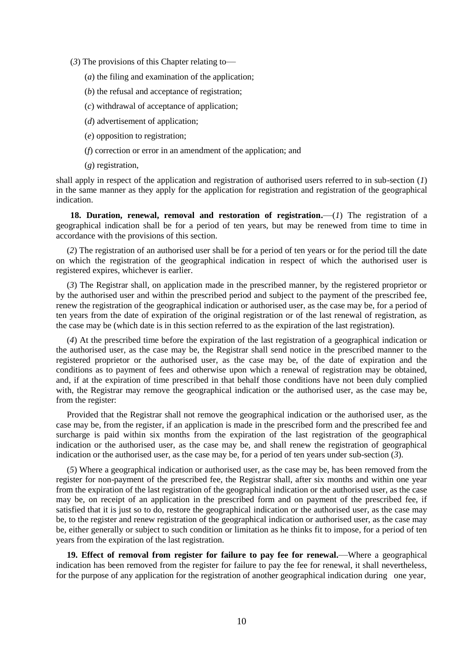- (*3*) The provisions of this Chapter relating to—
	- (*a*) the filing and examination of the application;
	- (*b*) the refusal and acceptance of registration;
	- (*c*) withdrawal of acceptance of application;
	- (*d*) advertisement of application;
	- (*e*) opposition to registration;
	- (*f*) correction or error in an amendment of the application; and
	- (*g*) registration,

shall apply in respect of the application and registration of authorised users referred to in sub-section (*1*) in the same manner as they apply for the application for registration and registration of the geographical indication.

**18. Duration, renewal, removal and restoration of registration.**—(*1*) The registration of a geographical indication shall be for a period of ten years, but may be renewed from time to time in accordance with the provisions of this section.

(*2*) The registration of an authorised user shall be for a period of ten years or for the period till the date on which the registration of the geographical indication in respect of which the authorised user is registered expires, whichever is earlier.

(*3*) The Registrar shall, on application made in the prescribed manner, by the registered proprietor or by the authorised user and within the prescribed period and subject to the payment of the prescribed fee, renew the registration of the geographical indication or authorised user, as the case may be, for a period of ten years from the date of expiration of the original registration or of the last renewal of registration, as the case may be (which date is in this section referred to as the expiration of the last registration).

(*4*) At the prescribed time before the expiration of the last registration of a geographical indication or the authorised user, as the case may be, the Registrar shall send notice in the prescribed manner to the registered proprietor or the authorised user, as the case may be, of the date of expiration and the conditions as to payment of fees and otherwise upon which a renewal of registration may be obtained, and, if at the expiration of time prescribed in that behalf those conditions have not been duly complied with, the Registrar may remove the geographical indication or the authorised user, as the case may be, from the register:

Provided that the Registrar shall not remove the geographical indication or the authorised user, as the case may be, from the register, if an application is made in the prescribed form and the prescribed fee and surcharge is paid within six months from the expiration of the last registration of the geographical indication or the authorised user, as the case may be, and shall renew the registration of geographical indication or the authorised user, as the case may be, for a period of ten years under sub-section (*3*).

(*5*) Where a geographical indication or authorised user, as the case may be, has been removed from the register for non-payment of the prescribed fee, the Registrar shall, after six months and within one year from the expiration of the last registration of the geographical indication or the authorised user, as the case may be, on receipt of an application in the prescribed form and on payment of the prescribed fee, if satisfied that it is just so to do, restore the geographical indication or the authorised user, as the case may be, to the register and renew registration of the geographical indication or authorised user, as the case may be, either generally or subject to such condition or limitation as he thinks fit to impose, for a period of ten years from the expiration of the last registration.

**19. Effect of removal from register for failure to pay fee for renewal.**—Where a geographical indication has been removed from the register for failure to pay the fee for renewal, it shall nevertheless, for the purpose of any application for the registration of another geographical indication during one year,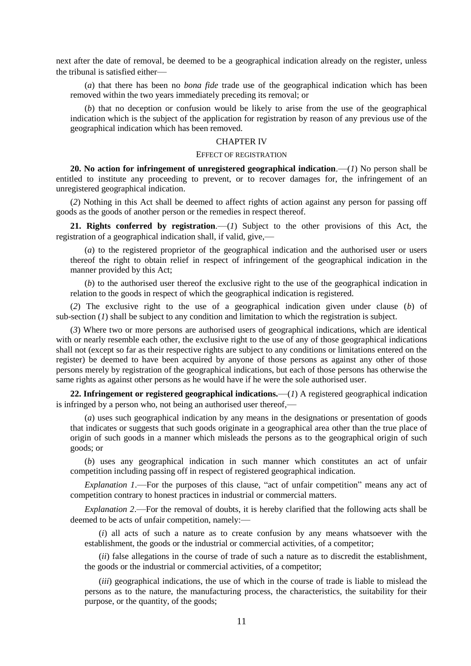next after the date of removal, be deemed to be a geographical indication already on the register, unless the tribunal is satisfied either—

(*a*) that there has been no *bona fide* trade use of the geographical indication which has been removed within the two years immediately preceding its removal; or

(*b*) that no deception or confusion would be likely to arise from the use of the geographical indication which is the subject of the application for registration by reason of any previous use of the geographical indication which has been removed.

#### CHAPTER IV

#### EFFECT OF REGISTRATION

**20. No action for infringement of unregistered geographical indication**.—(*1*) No person shall be entitled to institute any proceeding to prevent, or to recover damages for, the infringement of an unregistered geographical indication.

(*2*) Nothing in this Act shall be deemed to affect rights of action against any person for passing off goods as the goods of another person or the remedies in respect thereof.

**21. Rights conferred by registration**.—(*1*) Subject to the other provisions of this Act, the registration of a geographical indication shall, if valid, give,—

(*a*) to the registered proprietor of the geographical indication and the authorised user or users thereof the right to obtain relief in respect of infringement of the geographical indication in the manner provided by this Act;

(*b*) to the authorised user thereof the exclusive right to the use of the geographical indication in relation to the goods in respect of which the geographical indication is registered.

(*2*) The exclusive right to the use of a geographical indication given under clause (*b*) of sub-section (*1*) shall be subject to any condition and limitation to which the registration is subject.

(*3*) Where two or more persons are authorised users of geographical indications, which are identical with or nearly resemble each other, the exclusive right to the use of any of those geographical indications shall not (except so far as their respective rights are subject to any conditions or limitations entered on the register) be deemed to have been acquired by anyone of those persons as against any other of those persons merely by registration of the geographical indications, but each of those persons has otherwise the same rights as against other persons as he would have if he were the sole authorised user.

**22. Infringement or registered geographical indications.**—(*1*) A registered geographical indication is infringed by a person who, not being an authorised user thereof,—

(*a*) uses such geographical indication by any means in the designations or presentation of goods that indicates or suggests that such goods originate in a geographical area other than the true place of origin of such goods in a manner which misleads the persons as to the geographical origin of such goods; or

(*b*) uses any geographical indication in such manner which constitutes an act of unfair competition including passing off in respect of registered geographical indication.

*Explanation 1*.—For the purposes of this clause, "act of unfair competition" means any act of competition contrary to honest practices in industrial or commercial matters.

*Explanation 2*.—For the removal of doubts, it is hereby clarified that the following acts shall be deemed to be acts of unfair competition, namely:—

(*i*) all acts of such a nature as to create confusion by any means whatsoever with the establishment, the goods or the industrial or commercial activities, of a competitor;

(*ii*) false allegations in the course of trade of such a nature as to discredit the establishment, the goods or the industrial or commercial activities, of a competitor;

(*iii*) geographical indications, the use of which in the course of trade is liable to mislead the persons as to the nature, the manufacturing process, the characteristics, the suitability for their purpose, or the quantity, of the goods;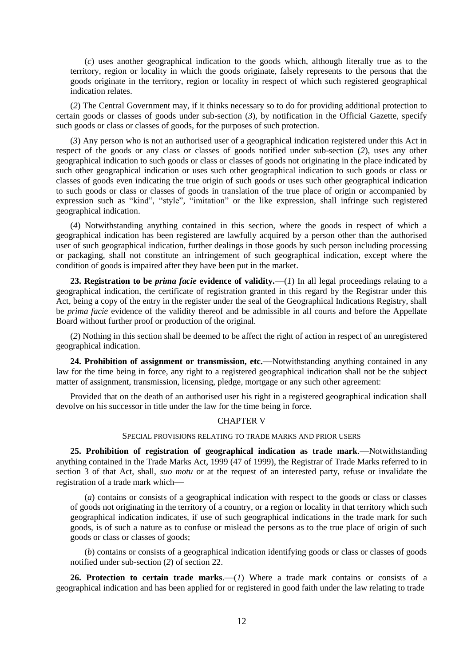(*c*) uses another geographical indication to the goods which, although literally true as to the territory, region or locality in which the goods originate, falsely represents to the persons that the goods originate in the territory, region or locality in respect of which such registered geographical indication relates.

(*2*) The Central Government may, if it thinks necessary so to do for providing additional protection to certain goods or classes of goods under sub-section (*3*), by notification in the Official Gazette, specify such goods or class or classes of goods, for the purposes of such protection.

(*3*) Any person who is not an authorised user of a geographical indication registered under this Act in respect of the goods or any class or classes of goods notified under sub-section (*2*), uses any other geographical indication to such goods or class or classes of goods not originating in the place indicated by such other geographical indication or uses such other geographical indication to such goods or class or classes of goods even indicating the true origin of such goods or uses such other geographical indication to such goods or class or classes of goods in translation of the true place of origin or accompanied by expression such as "kind", "style", "imitation" or the like expression, shall infringe such registered geographical indication.

(*4*) Notwithstanding anything contained in this section, where the goods in respect of which a geographical indication has been registered are lawfully acquired by a person other than the authorised user of such geographical indication, further dealings in those goods by such person including processing or packaging, shall not constitute an infringement of such geographical indication, except where the condition of goods is impaired after they have been put in the market.

**23. Registration to be** *prima facie* **evidence of validity.**—(*1*) In all legal proceedings relating to a geographical indication, the certificate of registration granted in this regard by the Registrar under this Act, being a copy of the entry in the register under the seal of the Geographical Indications Registry, shall be *prima facie* evidence of the validity thereof and be admissible in all courts and before the Appellate Board without further proof or production of the original.

(*2*) Nothing in this section shall be deemed to be affect the right of action in respect of an unregistered geographical indication.

**24. Prohibition of assignment or transmission, etc.—Notwithstanding anything contained in any** law for the time being in force, any right to a registered geographical indication shall not be the subject matter of assignment, transmission, licensing, pledge, mortgage or any such other agreement:

Provided that on the death of an authorised user his right in a registered geographical indication shall devolve on his successor in title under the law for the time being in force.

## CHAPTER V

### SPECIAL PROVISIONS RELATING TO TRADE MARKS AND PRIOR USERS

**25. Prohibition of registration of geographical indication as trade mark**.—Notwithstanding anything contained in the Trade Marks Act, 1999 (47 of 1999), the Registrar of Trade Marks referred to in section 3 of that Act, shall, *suo motu* or at the request of an interested party, refuse or invalidate the registration of a trade mark which—

(*a*) contains or consists of a geographical indication with respect to the goods or class or classes of goods not originating in the territory of a country, or a region or locality in that territory which such geographical indication indicates, if use of such geographical indications in the trade mark for such goods, is of such a nature as to confuse or mislead the persons as to the true place of origin of such goods or class or classes of goods;

(*b*) contains or consists of a geographical indication identifying goods or class or classes of goods notified under sub-section (*2*) of section 22.

**26. Protection to certain trade marks**.—(*1*) Where a trade mark contains or consists of a geographical indication and has been applied for or registered in good faith under the law relating to trade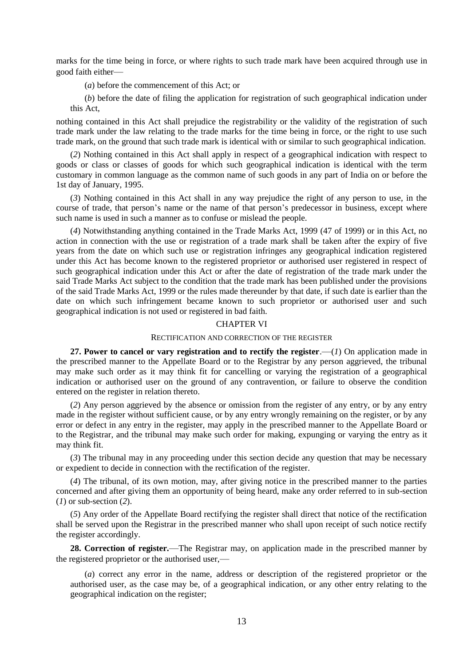marks for the time being in force, or where rights to such trade mark have been acquired through use in good faith either—

(*a*) before the commencement of this Act; or

(*b*) before the date of filing the application for registration of such geographical indication under this Act,

nothing contained in this Act shall prejudice the registrability or the validity of the registration of such trade mark under the law relating to the trade marks for the time being in force, or the right to use such trade mark, on the ground that such trade mark is identical with or similar to such geographical indication.

(*2*) Nothing contained in this Act shall apply in respect of a geographical indication with respect to goods or class or classes of goods for which such geographical indication is identical with the term customary in common language as the common name of such goods in any part of India on or before the 1st day of January, 1995.

(*3*) Nothing contained in this Act shall in any way prejudice the right of any person to use, in the course of trade, that person's name or the name of that person's predecessor in business, except where such name is used in such a manner as to confuse or mislead the people.

(*4*) Notwithstanding anything contained in the Trade Marks Act, 1999 (47 of 1999) or in this Act, no action in connection with the use or registration of a trade mark shall be taken after the expiry of five years from the date on which such use or registration infringes any geographical indication registered under this Act has become known to the registered proprietor or authorised user registered in respect of such geographical indication under this Act or after the date of registration of the trade mark under the said Trade Marks Act subject to the condition that the trade mark has been published under the provisions of the said Trade Marks Act, 1999 or the rules made thereunder by that date, if such date is earlier than the date on which such infringement became known to such proprietor or authorised user and such geographical indication is not used or registered in bad faith.

# CHAPTER VI

#### RECTIFICATION AND CORRECTION OF THE REGISTER

**27. Power to cancel or vary registration and to rectify the register**.—(*1*) On application made in the prescribed manner to the Appellate Board or to the Registrar by any person aggrieved, the tribunal may make such order as it may think fit for cancelling or varying the registration of a geographical indication or authorised user on the ground of any contravention, or failure to observe the condition entered on the register in relation thereto.

(*2*) Any person aggrieved by the absence or omission from the register of any entry, or by any entry made in the register without sufficient cause, or by any entry wrongly remaining on the register, or by any error or defect in any entry in the register, may apply in the prescribed manner to the Appellate Board or to the Registrar, and the tribunal may make such order for making, expunging or varying the entry as it may think fit.

(*3*) The tribunal may in any proceeding under this section decide any question that may be necessary or expedient to decide in connection with the rectification of the register.

(*4*) The tribunal, of its own motion, may, after giving notice in the prescribed manner to the parties concerned and after giving them an opportunity of being heard, make any order referred to in sub-section (*1*) or sub-section (*2*).

(*5*) Any order of the Appellate Board rectifying the register shall direct that notice of the rectification shall be served upon the Registrar in the prescribed manner who shall upon receipt of such notice rectify the register accordingly.

**28. Correction of register.**—The Registrar may, on application made in the prescribed manner by the registered proprietor or the authorised user,—

(*a*) correct any error in the name, address or description of the registered proprietor or the authorised user, as the case may be, of a geographical indication, or any other entry relating to the geographical indication on the register;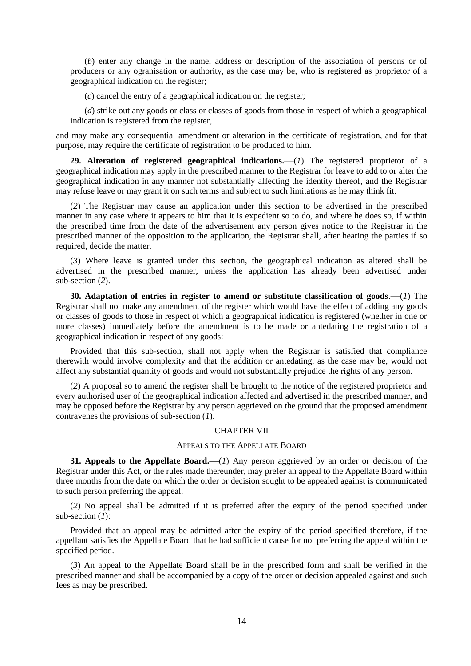(*b*) enter any change in the name, address or description of the association of persons or of producers or any ogranisation or authority, as the case may be, who is registered as proprietor of a geographical indication on the register;

(*c*) cancel the entry of a geographical indication on the register;

(*d*) strike out any goods or class or classes of goods from those in respect of which a geographical indication is registered from the register,

and may make any consequential amendment or alteration in the certificate of registration, and for that purpose, may require the certificate of registration to be produced to him.

**29. Alteration of registered geographical indications.**—(*1*) The registered proprietor of a geographical indication may apply in the prescribed manner to the Registrar for leave to add to or alter the geographical indication in any manner not substantially affecting the identity thereof, and the Registrar may refuse leave or may grant it on such terms and subject to such limitations as he may think fit.

(*2*) The Registrar may cause an application under this section to be advertised in the prescribed manner in any case where it appears to him that it is expedient so to do, and where he does so, if within the prescribed time from the date of the advertisement any person gives notice to the Registrar in the prescribed manner of the opposition to the application, the Registrar shall, after hearing the parties if so required, decide the matter.

(*3*) Where leave is granted under this section, the geographical indication as altered shall be advertised in the prescribed manner, unless the application has already been advertised under sub-section (*2*).

**30. Adaptation of entries in register to amend or substitute classification of goods**.—(*1*) The Registrar shall not make any amendment of the register which would have the effect of adding any goods or classes of goods to those in respect of which a geographical indication is registered (whether in one or more classes) immediately before the amendment is to be made or antedating the registration of a geographical indication in respect of any goods:

Provided that this sub-section, shall not apply when the Registrar is satisfied that compliance therewith would involve complexity and that the addition or antedating, as the case may be, would not affect any substantial quantity of goods and would not substantially prejudice the rights of any person.

(*2*) A proposal so to amend the register shall be brought to the notice of the registered proprietor and every authorised user of the geographical indication affected and advertised in the prescribed manner, and may be opposed before the Registrar by any person aggrieved on the ground that the proposed amendment contravenes the provisions of sub-section (*1*).

#### CHAPTER VII

#### APPEALS TO THE APPELLATE BOARD

**31. Appeals to the Appellate Board.**—(*1*) Any person aggrieved by an order or decision of the Registrar under this Act, or the rules made thereunder, may prefer an appeal to the Appellate Board within three months from the date on which the order or decision sought to be appealed against is communicated to such person preferring the appeal.

(*2*) No appeal shall be admitted if it is preferred after the expiry of the period specified under sub-section (*1*):

Provided that an appeal may be admitted after the expiry of the period specified therefore, if the appellant satisfies the Appellate Board that he had sufficient cause for not preferring the appeal within the specified period.

(*3*) An appeal to the Appellate Board shall be in the prescribed form and shall be verified in the prescribed manner and shall be accompanied by a copy of the order or decision appealed against and such fees as may be prescribed.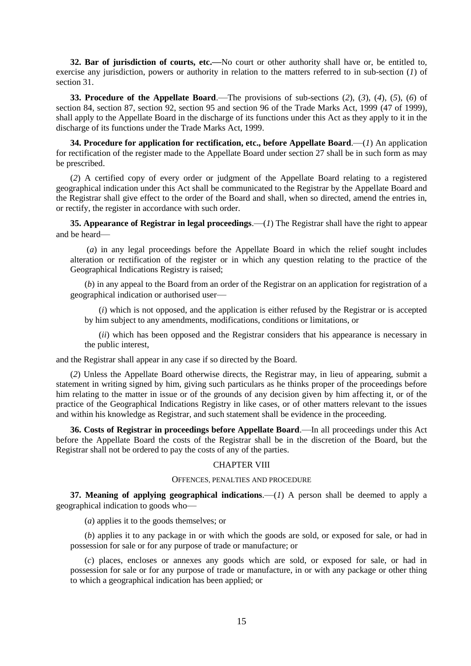**32. Bar of jurisdiction of courts, etc.—**No court or other authority shall have or, be entitled to, exercise any jurisdiction, powers or authority in relation to the matters referred to in sub-section (*1*) of section 31.

**33. Procedure of the Appellate Board**.—The provisions of sub-sections (*2*), (*3*), (*4*), (*5*), (*6*) of section 84, section 87, section 92, section 95 and section 96 of the Trade Marks Act, 1999 (47 of 1999), shall apply to the Appellate Board in the discharge of its functions under this Act as they apply to it in the discharge of its functions under the Trade Marks Act, 1999.

**34. Procedure for application for rectification, etc., before Appellate Board**.—(*1*) An application for rectification of the register made to the Appellate Board under section 27 shall be in such form as may be prescribed.

(*2*) A certified copy of every order or judgment of the Appellate Board relating to a registered geographical indication under this Act shall be communicated to the Registrar by the Appellate Board and the Registrar shall give effect to the order of the Board and shall, when so directed, amend the entries in, or rectify, the register in accordance with such order.

**35. Appearance of Registrar in legal proceedings**.—(*1*) The Registrar shall have the right to appear and be heard—

(*a*) in any legal proceedings before the Appellate Board in which the relief sought includes alteration or rectification of the register or in which any question relating to the practice of the Geographical Indications Registry is raised;

(*b*) in any appeal to the Board from an order of the Registrar on an application for registration of a geographical indication or authorised user—

(*i*) which is not opposed, and the application is either refused by the Registrar or is accepted by him subject to any amendments, modifications, conditions or limitations, or

(*ii*) which has been opposed and the Registrar considers that his appearance is necessary in the public interest,

and the Registrar shall appear in any case if so directed by the Board.

(*2*) Unless the Appellate Board otherwise directs, the Registrar may, in lieu of appearing, submit a statement in writing signed by him, giving such particulars as he thinks proper of the proceedings before him relating to the matter in issue or of the grounds of any decision given by him affecting it, or of the practice of the Geographical Indications Registry in like cases, or of other matters relevant to the issues and within his knowledge as Registrar, and such statement shall be evidence in the proceeding.

**36. Costs of Registrar in proceedings before Appellate Board**.—In all proceedings under this Act before the Appellate Board the costs of the Registrar shall be in the discretion of the Board, but the Registrar shall not be ordered to pay the costs of any of the parties.

# CHAPTER VIII

#### OFFENCES, PENALTIES AND PROCEDURE

**37. Meaning of applying geographical indications**.—(*1*) A person shall be deemed to apply a geographical indication to goods who—

(*a*) applies it to the goods themselves; or

(*b*) applies it to any package in or with which the goods are sold, or exposed for sale, or had in possession for sale or for any purpose of trade or manufacture; or

(*c*) places, encloses or annexes any goods which are sold, or exposed for sale, or had in possession for sale or for any purpose of trade or manufacture, in or with any package or other thing to which a geographical indication has been applied; or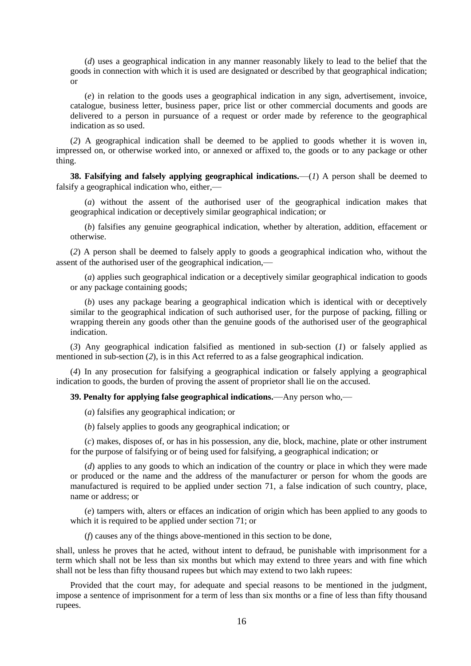(*d*) uses a geographical indication in any manner reasonably likely to lead to the belief that the goods in connection with which it is used are designated or described by that geographical indication; or

(*e*) in relation to the goods uses a geographical indication in any sign, advertisement, invoice, catalogue, business letter, business paper, price list or other commercial documents and goods are delivered to a person in pursuance of a request or order made by reference to the geographical indication as so used.

(*2*) A geographical indication shall be deemed to be applied to goods whether it is woven in, impressed on, or otherwise worked into, or annexed or affixed to, the goods or to any package or other thing.

**38. Falsifying and falsely applying geographical indications.**—(*1*) A person shall be deemed to falsify a geographical indication who, either,—

(*a*) without the assent of the authorised user of the geographical indication makes that geographical indication or deceptively similar geographical indication; or

(*b*) falsifies any genuine geographical indication, whether by alteration, addition, effacement or otherwise.

(*2*) A person shall be deemed to falsely apply to goods a geographical indication who, without the assent of the authorised user of the geographical indication,—

(*a*) applies such geographical indication or a deceptively similar geographical indication to goods or any package containing goods;

(*b*) uses any package bearing a geographical indication which is identical with or deceptively similar to the geographical indication of such authorised user, for the purpose of packing, filling or wrapping therein any goods other than the genuine goods of the authorised user of the geographical indication.

(*3*) Any geographical indication falsified as mentioned in sub-section (*1*) or falsely applied as mentioned in sub-section (*2*), is in this Act referred to as a false geographical indication.

(*4*) In any prosecution for falsifying a geographical indication or falsely applying a geographical indication to goods, the burden of proving the assent of proprietor shall lie on the accused.

**39. Penalty for applying false geographical indications.**—Any person who,—

(*a*) falsifies any geographical indication; or

(*b*) falsely applies to goods any geographical indication; or

(*c*) makes, disposes of, or has in his possession, any die, block, machine, plate or other instrument for the purpose of falsifying or of being used for falsifying, a geographical indication; or

(*d*) applies to any goods to which an indication of the country or place in which they were made or produced or the name and the address of the manufacturer or person for whom the goods are manufactured is required to be applied under section 71, a false indication of such country, place, name or address; or

(*e*) tampers with, alters or effaces an indication of origin which has been applied to any goods to which it is required to be applied under section 71; or

(*f*) causes any of the things above-mentioned in this section to be done,

shall, unless he proves that he acted, without intent to defraud, be punishable with imprisonment for a term which shall not be less than six months but which may extend to three years and with fine which shall not be less than fifty thousand rupees but which may extend to two lakh rupees:

Provided that the court may, for adequate and special reasons to be mentioned in the judgment, impose a sentence of imprisonment for a term of less than six months or a fine of less than fifty thousand rupees.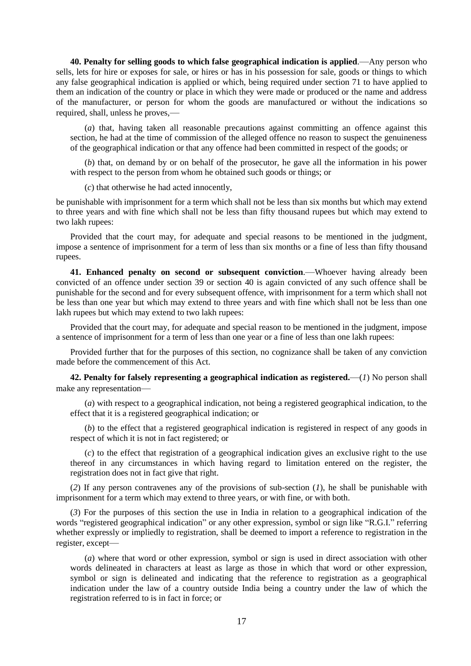**40. Penalty for selling goods to which false geographical indication is applied**.—Any person who sells, lets for hire or exposes for sale, or hires or has in his possession for sale, goods or things to which any false geographical indication is applied or which, being required under section 71 to have applied to them an indication of the country or place in which they were made or produced or the name and address of the manufacturer, or person for whom the goods are manufactured or without the indications so required, shall, unless he proves,—

(*a*) that, having taken all reasonable precautions against committing an offence against this section, he had at the time of commission of the alleged offence no reason to suspect the genuineness of the geographical indication or that any offence had been committed in respect of the goods; or

(*b*) that, on demand by or on behalf of the prosecutor, he gave all the information in his power with respect to the person from whom he obtained such goods or things; or

(*c*) that otherwise he had acted innocently,

be punishable with imprisonment for a term which shall not be less than six months but which may extend to three years and with fine which shall not be less than fifty thousand rupees but which may extend to two lakh rupees:

Provided that the court may, for adequate and special reasons to be mentioned in the judgment, impose a sentence of imprisonment for a term of less than six months or a fine of less than fifty thousand rupees.

**41. Enhanced penalty on second or subsequent conviction**.—Whoever having already been convicted of an offence under section 39 or section 40 is again convicted of any such offence shall be punishable for the second and for every subsequent offence, with imprisonment for a term which shall not be less than one year but which may extend to three years and with fine which shall not be less than one lakh rupees but which may extend to two lakh rupees:

Provided that the court may, for adequate and special reason to be mentioned in the judgment, impose a sentence of imprisonment for a term of less than one year or a fine of less than one lakh rupees:

Provided further that for the purposes of this section, no cognizance shall be taken of any conviction made before the commencement of this Act.

**42. Penalty for falsely representing a geographical indication as registered.**—(*1*) No person shall make any representation—

(*a*) with respect to a geographical indication, not being a registered geographical indication, to the effect that it is a registered geographical indication; or

(*b*) to the effect that a registered geographical indication is registered in respect of any goods in respect of which it is not in fact registered; or

(*c*) to the effect that registration of a geographical indication gives an exclusive right to the use thereof in any circumstances in which having regard to limitation entered on the register, the registration does not in fact give that right.

(*2*) If any person contravenes any of the provisions of sub-section (*1*), he shall be punishable with imprisonment for a term which may extend to three years, or with fine, or with both.

(*3*) For the purposes of this section the use in India in relation to a geographical indication of the words "registered geographical indication" or any other expression, symbol or sign like "R.G.I." referring whether expressly or impliedly to registration, shall be deemed to import a reference to registration in the register, except—

(*a*) where that word or other expression, symbol or sign is used in direct association with other words delineated in characters at least as large as those in which that word or other expression, symbol or sign is delineated and indicating that the reference to registration as a geographical indication under the law of a country outside India being a country under the law of which the registration referred to is in fact in force; or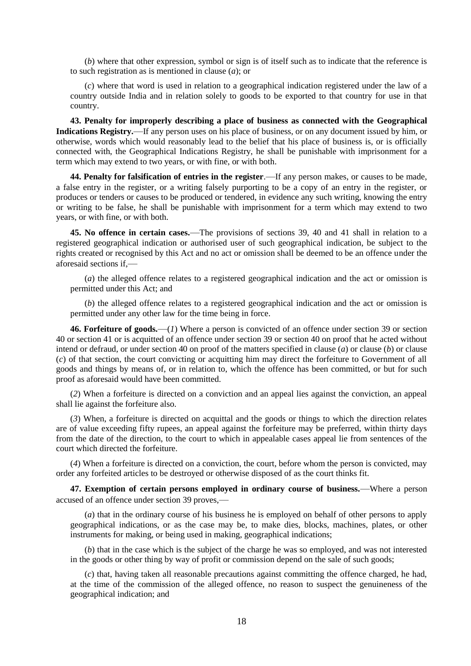(*b*) where that other expression, symbol or sign is of itself such as to indicate that the reference is to such registration as is mentioned in clause (*a*); or

(*c*) where that word is used in relation to a geographical indication registered under the law of a country outside India and in relation solely to goods to be exported to that country for use in that country.

**43. Penalty for improperly describing a place of business as connected with the Geographical Indications Registry.**—If any person uses on his place of business, or on any document issued by him, or otherwise, words which would reasonably lead to the belief that his place of business is, or is officially connected with, the Geographical Indications Registry, he shall be punishable with imprisonment for a term which may extend to two years, or with fine, or with both.

**44. Penalty for falsification of entries in the register**.—If any person makes, or causes to be made, a false entry in the register, or a writing falsely purporting to be a copy of an entry in the register, or produces or tenders or causes to be produced or tendered, in evidence any such writing, knowing the entry or writing to be false, he shall be punishable with imprisonment for a term which may extend to two years, or with fine, or with both.

**45. No offence in certain cases.**—The provisions of sections 39, 40 and 41 shall in relation to a registered geographical indication or authorised user of such geographical indication, be subject to the rights created or recognised by this Act and no act or omission shall be deemed to be an offence under the aforesaid sections if,—

(*a*) the alleged offence relates to a registered geographical indication and the act or omission is permitted under this Act; and

(*b*) the alleged offence relates to a registered geographical indication and the act or omission is permitted under any other law for the time being in force.

**46. Forfeiture of goods.**—(*1*) Where a person is convicted of an offence under section 39 or section 40 or section 41 or is acquitted of an offence under section 39 or section 40 on proof that he acted without intend or defraud, or under section 40 on proof of the matters specified in clause (*a*) or clause (*b*) or clause (*c*) of that section, the court convicting or acquitting him may direct the forfeiture to Government of all goods and things by means of, or in relation to, which the offence has been committed, or but for such proof as aforesaid would have been committed.

(*2*) When a forfeiture is directed on a conviction and an appeal lies against the conviction, an appeal shall lie against the forfeiture also.

(*3*) When, a forfeiture is directed on acquittal and the goods or things to which the direction relates are of value exceeding fifty rupees, an appeal against the forfeiture may be preferred, within thirty days from the date of the direction, to the court to which in appealable cases appeal lie from sentences of the court which directed the forfeiture.

(*4*) When a forfeiture is directed on a conviction, the court, before whom the person is convicted, may order any forfeited articles to be destroyed or otherwise disposed of as the court thinks fit.

**47. Exemption of certain persons employed in ordinary course of business.**—Where a person accused of an offence under section 39 proves,—

(*a*) that in the ordinary course of his business he is employed on behalf of other persons to apply geographical indications, or as the case may be, to make dies, blocks, machines, plates, or other instruments for making, or being used in making, geographical indications;

(*b*) that in the case which is the subject of the charge he was so employed, and was not interested in the goods or other thing by way of profit or commission depend on the sale of such goods;

(*c*) that, having taken all reasonable precautions against committing the offence charged, he had, at the time of the commission of the alleged offence, no reason to suspect the genuineness of the geographical indication; and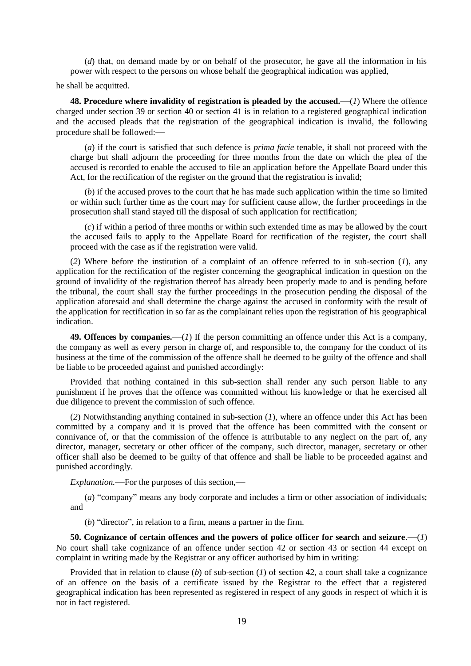(*d*) that, on demand made by or on behalf of the prosecutor, he gave all the information in his power with respect to the persons on whose behalf the geographical indication was applied,

he shall be acquitted.

**48. Procedure where invalidity of registration is pleaded by the accused.**—(*1*) Where the offence charged under section 39 or section 40 or section 41 is in relation to a registered geographical indication and the accused pleads that the registration of the geographical indication is invalid, the following procedure shall be followed:—

(*a*) if the court is satisfied that such defence is *prima facie* tenable, it shall not proceed with the charge but shall adjourn the proceeding for three months from the date on which the plea of the accused is recorded to enable the accused to file an application before the Appellate Board under this Act, for the rectification of the register on the ground that the registration is invalid;

(*b*) if the accused proves to the court that he has made such application within the time so limited or within such further time as the court may for sufficient cause allow, the further proceedings in the prosecution shall stand stayed till the disposal of such application for rectification;

(*c*) if within a period of three months or within such extended time as may be allowed by the court the accused fails to apply to the Appellate Board for rectification of the register, the court shall proceed with the case as if the registration were valid.

(*2*) Where before the institution of a complaint of an offence referred to in sub-section (*1*), any application for the rectification of the register concerning the geographical indication in question on the ground of invalidity of the registration thereof has already been properly made to and is pending before the tribunal, the court shall stay the further proceedings in the prosecution pending the disposal of the application aforesaid and shall determine the charge against the accused in conformity with the result of the application for rectification in so far as the complainant relies upon the registration of his geographical indication.

**49. Offences by companies.**—(*1*) If the person committing an offence under this Act is a company, the company as well as every person in charge of, and responsible to, the company for the conduct of its business at the time of the commission of the offence shall be deemed to be guilty of the offence and shall be liable to be proceeded against and punished accordingly:

Provided that nothing contained in this sub-section shall render any such person liable to any punishment if he proves that the offence was committed without his knowledge or that he exercised all due diligence to prevent the commission of such offence.

(*2*) Notwithstanding anything contained in sub-section (*1*), where an offence under this Act has been committed by a company and it is proved that the offence has been committed with the consent or connivance of, or that the commission of the offence is attributable to any neglect on the part of, any director, manager, secretary or other officer of the company, such director, manager, secretary or other officer shall also be deemed to be guilty of that offence and shall be liable to be proceeded against and punished accordingly.

*Explanation.*—For the purposes of this section,—

(*a*) "company" means any body corporate and includes a firm or other association of individuals; and

(*b*) "director", in relation to a firm, means a partner in the firm.

**50. Cognizance of certain offences and the powers of police officer for search and seizure**.—(*1*) No court shall take cognizance of an offence under section 42 or section 43 or section 44 except on complaint in writing made by the Registrar or any officer authorised by him in writing:

Provided that in relation to clause (*b*) of sub-section (*1*) of section 42, a court shall take a cognizance of an offence on the basis of a certificate issued by the Registrar to the effect that a registered geographical indication has been represented as registered in respect of any goods in respect of which it is not in fact registered.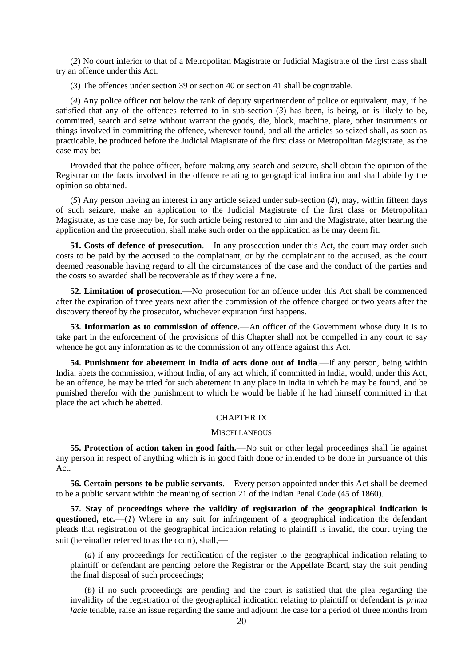(*2*) No court inferior to that of a Metropolitan Magistrate or Judicial Magistrate of the first class shall try an offence under this Act.

(*3*) The offences under section 39 or section 40 or section 41 shall be cognizable.

(*4*) Any police officer not below the rank of deputy superintendent of police or equivalent, may, if he satisfied that any of the offences referred to in sub-section  $(3)$  has been, is being, or is likely to be, committed, search and seize without warrant the goods, die, block, machine, plate, other instruments or things involved in committing the offence, wherever found, and all the articles so seized shall, as soon as practicable, be produced before the Judicial Magistrate of the first class or Metropolitan Magistrate, as the case may be:

Provided that the police officer, before making any search and seizure, shall obtain the opinion of the Registrar on the facts involved in the offence relating to geographical indication and shall abide by the opinion so obtained.

(*5*) Any person having an interest in any article seized under sub-section (*4*), may, within fifteen days of such seizure, make an application to the Judicial Magistrate of the first class or Metropolitan Magistrate, as the case may be, for such article being restored to him and the Magistrate, after hearing the application and the prosecution, shall make such order on the application as he may deem fit.

**51. Costs of defence of prosecution**.—In any prosecution under this Act, the court may order such costs to be paid by the accused to the complainant, or by the complainant to the accused, as the court deemed reasonable having regard to all the circumstances of the case and the conduct of the parties and the costs so awarded shall be recoverable as if they were a fine.

**52. Limitation of prosecution.**—No prosecution for an offence under this Act shall be commenced after the expiration of three years next after the commission of the offence charged or two years after the discovery thereof by the prosecutor, whichever expiration first happens.

**53. Information as to commission of offence.**—An officer of the Government whose duty it is to take part in the enforcement of the provisions of this Chapter shall not be compelled in any court to say whence he got any information as to the commission of any offence against this Act.

**54. Punishment for abetement in India of acts done out of India**.—If any person, being within India, abets the commission, without India, of any act which, if committed in India, would, under this Act, be an offence, he may be tried for such abetement in any place in India in which he may be found, and be punished therefor with the punishment to which he would be liable if he had himself committed in that place the act which he abetted.

### CHAPTER IX

#### **MISCELLANEOUS**

**55. Protection of action taken in good faith.**—No suit or other legal proceedings shall lie against any person in respect of anything which is in good faith done or intended to be done in pursuance of this Act.

**56. Certain persons to be public servants**.—Every person appointed under this Act shall be deemed to be a public servant within the meaning of section 21 of the Indian Penal Code (45 of 1860).

**57. Stay of proceedings where the validity of registration of the geographical indication is questioned, etc.**—(*1*) Where in any suit for infringement of a geographical indication the defendant pleads that registration of the geographical indication relating to plaintiff is invalid, the court trying the suit (hereinafter referred to as the court), shall,—

(*a*) if any proceedings for rectification of the register to the geographical indication relating to plaintiff or defendant are pending before the Registrar or the Appellate Board, stay the suit pending the final disposal of such proceedings;

(*b*) if no such proceedings are pending and the court is satisfied that the plea regarding the invalidity of the registration of the geographical indication relating to plaintiff or defendant is *prima facie* tenable, raise an issue regarding the same and adjourn the case for a period of three months from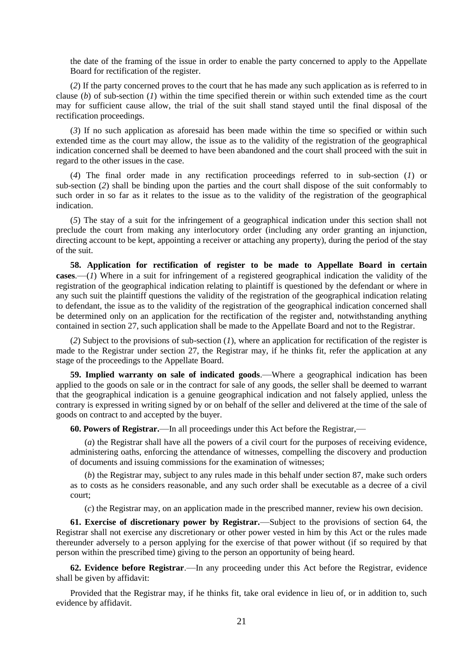the date of the framing of the issue in order to enable the party concerned to apply to the Appellate Board for rectification of the register.

(*2*) If the party concerned proves to the court that he has made any such application as is referred to in clause (*b*) of sub-section (*1*) within the time specified therein or within such extended time as the court may for sufficient cause allow, the trial of the suit shall stand stayed until the final disposal of the rectification proceedings.

(*3*) If no such application as aforesaid has been made within the time so specified or within such extended time as the court may allow, the issue as to the validity of the registration of the geographical indication concerned shall be deemed to have been abandoned and the court shall proceed with the suit in regard to the other issues in the case.

(*4*) The final order made in any rectification proceedings referred to in sub-section (*1*) or sub-section (*2*) shall be binding upon the parties and the court shall dispose of the suit conformably to such order in so far as it relates to the issue as to the validity of the registration of the geographical indication.

(*5*) The stay of a suit for the infringement of a geographical indication under this section shall not preclude the court from making any interlocutory order (including any order granting an injunction, directing account to be kept, appointing a receiver or attaching any property), during the period of the stay of the suit.

**58. Application for rectification of register to be made to Appellate Board in certain cases**.—(*1*) Where in a suit for infringement of a registered geographical indication the validity of the registration of the geographical indication relating to plaintiff is questioned by the defendant or where in any such suit the plaintiff questions the validity of the registration of the geographical indication relating to defendant, the issue as to the validity of the registration of the geographical indication concerned shall be determined only on an application for the rectification of the register and, notwithstanding anything contained in section 27, such application shall be made to the Appellate Board and not to the Registrar.

(*2*) Subject to the provisions of sub-section (*1*), where an application for rectification of the register is made to the Registrar under section 27, the Registrar may, if he thinks fit, refer the application at any stage of the proceedings to the Appellate Board.

**59. Implied warranty on sale of indicated goods**.—Where a geographical indication has been applied to the goods on sale or in the contract for sale of any goods, the seller shall be deemed to warrant that the geographical indication is a genuine geographical indication and not falsely applied, unless the contrary is expressed in writing signed by or on behalf of the seller and delivered at the time of the sale of goods on contract to and accepted by the buyer.

**60. Powers of Registrar.**—In all proceedings under this Act before the Registrar,—

(*a*) the Registrar shall have all the powers of a civil court for the purposes of receiving evidence, administering oaths, enforcing the attendance of witnesses, compelling the discovery and production of documents and issuing commissions for the examination of witnesses;

(*b*) the Registrar may, subject to any rules made in this behalf under section 87, make such orders as to costs as he considers reasonable, and any such order shall be executable as a decree of a civil court;

(*c*) the Registrar may, on an application made in the prescribed manner, review his own decision.

**61. Exercise of discretionary power by Registrar.**—Subject to the provisions of section 64, the Registrar shall not exercise any discretionary or other power vested in him by this Act or the rules made thereunder adversely to a person applying for the exercise of that power without (if so required by that person within the prescribed time) giving to the person an opportunity of being heard.

**62. Evidence before Registrar**.—In any proceeding under this Act before the Registrar, evidence shall be given by affidavit:

Provided that the Registrar may, if he thinks fit, take oral evidence in lieu of, or in addition to, such evidence by affidavit.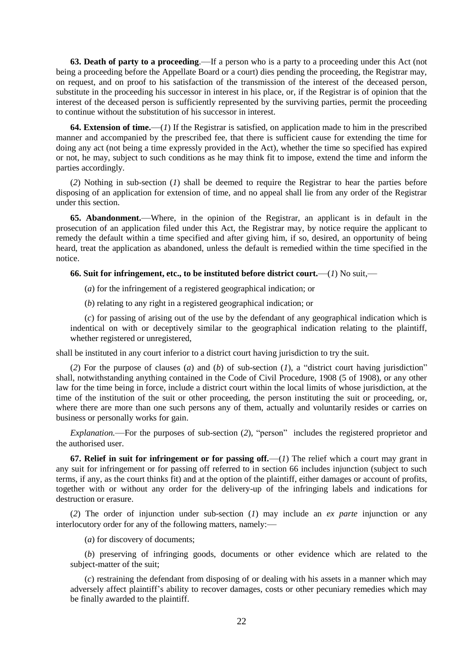**63. Death of party to a proceeding**.—If a person who is a party to a proceeding under this Act (not being a proceeding before the Appellate Board or a court) dies pending the proceeding, the Registrar may, on request, and on proof to his satisfaction of the transmission of the interest of the deceased person, substitute in the proceeding his successor in interest in his place, or, if the Registrar is of opinion that the interest of the deceased person is sufficiently represented by the surviving parties, permit the proceeding to continue without the substitution of his successor in interest.

**64. Extension of time.**—(*1*) If the Registrar is satisfied, on application made to him in the prescribed manner and accompanied by the prescribed fee, that there is sufficient cause for extending the time for doing any act (not being a time expressly provided in the Act), whether the time so specified has expired or not, he may, subject to such conditions as he may think fit to impose, extend the time and inform the parties accordingly.

(*2*) Nothing in sub-section (*1*) shall be deemed to require the Registrar to hear the parties before disposing of an application for extension of time, and no appeal shall lie from any order of the Registrar under this section.

**65. Abandonment.**—Where, in the opinion of the Registrar, an applicant is in default in the prosecution of an application filed under this Act, the Registrar may, by notice require the applicant to remedy the default within a time specified and after giving him, if so, desired, an opportunity of being heard, treat the application as abandoned, unless the default is remedied within the time specified in the notice.

# **66. Suit for infringement, etc., to be instituted before district court.**—(*1*) No suit,—

(*a*) for the infringement of a registered geographical indication; or

(*b*) relating to any right in a registered geographical indication; or

(*c*) for passing of arising out of the use by the defendant of any geographical indication which is indentical on with or deceptively similar to the geographical indication relating to the plaintiff, whether registered or unregistered,

shall be instituted in any court inferior to a district court having jurisdiction to try the suit.

(*2*) For the purpose of clauses (*a*) and (*b*) of sub-section (*1*), a "district court having jurisdiction" shall, notwithstanding anything contained in the Code of Civil Procedure, 1908 (5 of 1908), or any other law for the time being in force, include a district court within the local limits of whose jurisdiction, at the time of the institution of the suit or other proceeding, the person instituting the suit or proceeding, or, where there are more than one such persons any of them, actually and voluntarily resides or carries on business or personally works for gain.

*Explanation.*—For the purposes of sub-section (*2*), "person" includes the registered proprietor and the authorised user.

**67. Relief in suit for infringement or for passing off.**—(*1*) The relief which a court may grant in any suit for infringement or for passing off referred to in section 66 includes injunction (subject to such terms, if any, as the court thinks fit) and at the option of the plaintiff, either damages or account of profits, together with or without any order for the delivery-up of the infringing labels and indications for destruction or erasure.

(*2*) The order of injunction under sub-section (*1*) may include an *ex parte* injunction or any interlocutory order for any of the following matters, namely:—

(*a*) for discovery of documents;

(*b*) preserving of infringing goods, documents or other evidence which are related to the subject-matter of the suit;

(*c*) restraining the defendant from disposing of or dealing with his assets in a manner which may adversely affect plaintiff's ability to recover damages, costs or other pecuniary remedies which may be finally awarded to the plaintiff.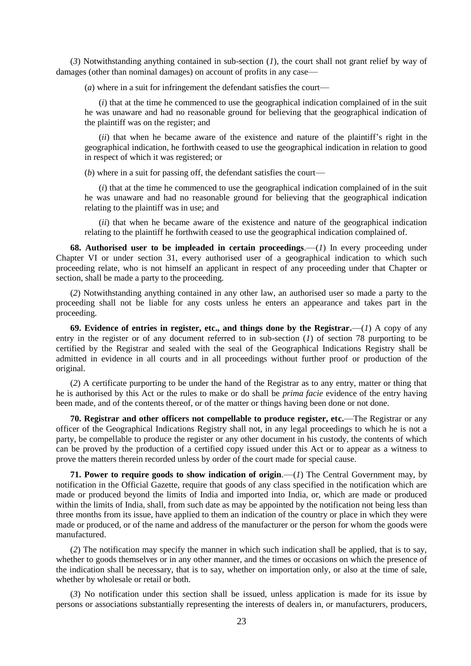(*3*) Notwithstanding anything contained in sub-section (*1*), the court shall not grant relief by way of damages (other than nominal damages) on account of profits in any case—

(*a*) where in a suit for infringement the defendant satisfies the court—

(*i*) that at the time he commenced to use the geographical indication complained of in the suit he was unaware and had no reasonable ground for believing that the geographical indication of the plaintiff was on the register; and

(*ii*) that when he became aware of the existence and nature of the plaintiff's right in the geographical indication, he forthwith ceased to use the geographical indication in relation to good in respect of which it was registered; or

(*b*) where in a suit for passing off, the defendant satisfies the court—

(*i*) that at the time he commenced to use the geographical indication complained of in the suit he was unaware and had no reasonable ground for believing that the geographical indication relating to the plaintiff was in use; and

(*ii*) that when he became aware of the existence and nature of the geographical indication relating to the plaintiff he forthwith ceased to use the geographical indication complained of.

**68. Authorised user to be impleaded in certain proceedings**.—(*1*) In every proceeding under Chapter VI or under section 31, every authorised user of a geographical indication to which such proceeding relate, who is not himself an applicant in respect of any proceeding under that Chapter or section, shall be made a party to the proceeding.

(*2*) Notwithstanding anything contained in any other law, an authorised user so made a party to the proceeding shall not be liable for any costs unless he enters an appearance and takes part in the proceeding.

**69. Evidence of entries in register, etc., and things done by the Registrar.—(***1***) A copy of any** entry in the register or of any document referred to in sub-section (*1*) of section 78 purporting to be certified by the Registrar and sealed with the seal of the Geographical Indications Registry shall be admitted in evidence in all courts and in all proceedings without further proof or production of the original.

(*2*) A certificate purporting to be under the hand of the Registrar as to any entry, matter or thing that he is authorised by this Act or the rules to make or do shall be *prima facie* evidence of the entry having been made, and of the contents thereof, or of the matter or things having been done or not done.

**70. Registrar and other officers not compellable to produce register, etc.**—The Registrar or any officer of the Geographical Indications Registry shall not, in any legal proceedings to which he is not a party, be compellable to produce the register or any other document in his custody, the contents of which can be proved by the production of a certified copy issued under this Act or to appear as a witness to prove the matters therein recorded unless by order of the court made for special cause.

**71. Power to require goods to show indication of origin**.—(*1*) The Central Government may, by notification in the Official Gazette, require that goods of any class specified in the notification which are made or produced beyond the limits of India and imported into India, or, which are made or produced within the limits of India, shall, from such date as may be appointed by the notification not being less than three months from its issue, have applied to them an indication of the country or place in which they were made or produced, or of the name and address of the manufacturer or the person for whom the goods were manufactured.

(*2*) The notification may specify the manner in which such indication shall be applied, that is to say, whether to goods themselves or in any other manner, and the times or occasions on which the presence of the indication shall be necessary, that is to say, whether on importation only, or also at the time of sale, whether by wholesale or retail or both.

(*3*) No notification under this section shall be issued, unless application is made for its issue by persons or associations substantially representing the interests of dealers in, or manufacturers, producers,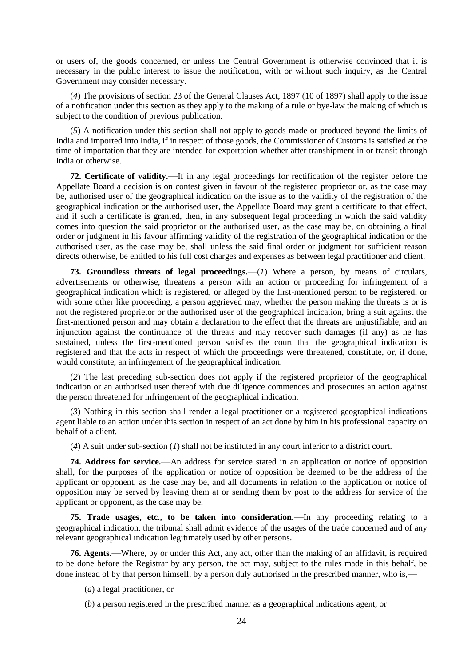or users of, the goods concerned, or unless the Central Government is otherwise convinced that it is necessary in the public interest to issue the notification, with or without such inquiry, as the Central Government may consider necessary.

(*4*) The provisions of section 23 of the General Clauses Act, 1897 (10 of 1897) shall apply to the issue of a notification under this section as they apply to the making of a rule or bye-law the making of which is subject to the condition of previous publication.

(*5*) A notification under this section shall not apply to goods made or produced beyond the limits of India and imported into India, if in respect of those goods, the Commissioner of Customs is satisfied at the time of importation that they are intended for exportation whether after transhipment in or transit through India or otherwise.

**72. Certificate of validity.**—If in any legal proceedings for rectification of the register before the Appellate Board a decision is on contest given in favour of the registered proprietor or, as the case may be, authorised user of the geographical indication on the issue as to the validity of the registration of the geographical indication or the authorised user, the Appellate Board may grant a certificate to that effect, and if such a certificate is granted, then, in any subsequent legal proceeding in which the said validity comes into question the said proprietor or the authorised user, as the case may be, on obtaining a final order or judgment in his favour affirming validity of the registration of the geographical indication or the authorised user, as the case may be, shall unless the said final order or judgment for sufficient reason directs otherwise, be entitled to his full cost charges and expenses as between legal practitioner and client.

**73. Groundless threats of legal proceedings.**—(*1*) Where a person, by means of circulars, advertisements or otherwise, threatens a person with an action or proceeding for infringement of a geographical indication which is registered, or alleged by the first-mentioned person to be registered, or with some other like proceeding, a person aggrieved may, whether the person making the threats is or is not the registered proprietor or the authorised user of the geographical indication, bring a suit against the first-mentioned person and may obtain a declaration to the effect that the threats are unjustifiable, and an injunction against the continuance of the threats and may recover such damages (if any) as he has sustained, unless the first-mentioned person satisfies the court that the geographical indication is registered and that the acts in respect of which the proceedings were threatened, constitute, or, if done, would constitute, an infringement of the geographical indication.

(*2*) The last preceding sub-section does not apply if the registered proprietor of the geographical indication or an authorised user thereof with due diligence commences and prosecutes an action against the person threatened for infringement of the geographical indication.

(*3*) Nothing in this section shall render a legal practitioner or a registered geographical indications agent liable to an action under this section in respect of an act done by him in his professional capacity on behalf of a client.

(*4*) A suit under sub-section (*1*) shall not be instituted in any court inferior to a district court.

**74. Address for service.**—An address for service stated in an application or notice of opposition shall, for the purposes of the application or notice of opposition be deemed to be the address of the applicant or opponent, as the case may be, and all documents in relation to the application or notice of opposition may be served by leaving them at or sending them by post to the address for service of the applicant or opponent, as the case may be.

**75. Trade usages, etc., to be taken into consideration.**—In any proceeding relating to a geographical indication, the tribunal shall admit evidence of the usages of the trade concerned and of any relevant geographical indication legitimately used by other persons.

**76. Agents.**—Where, by or under this Act, any act, other than the making of an affidavit, is required to be done before the Registrar by any person, the act may, subject to the rules made in this behalf, be done instead of by that person himself, by a person duly authorised in the prescribed manner, who is,—

(*a*) a legal practitioner, or

(*b*) a person registered in the prescribed manner as a geographical indications agent, or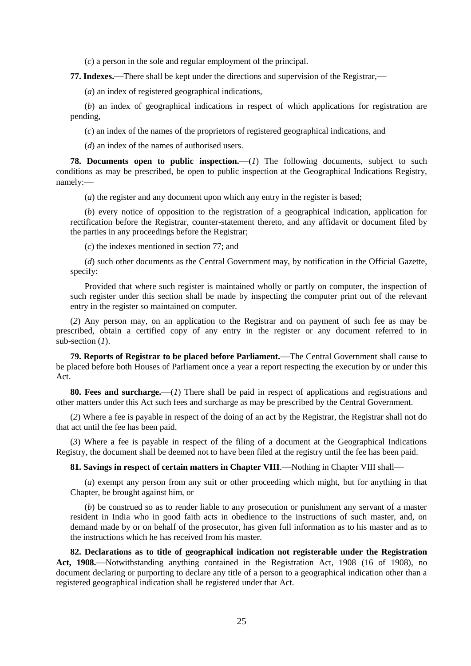(*c*) a person in the sole and regular employment of the principal.

**77. Indexes.**—There shall be kept under the directions and supervision of the Registrar,—

(*a*) an index of registered geographical indications,

(*b*) an index of geographical indications in respect of which applications for registration are pending,

(*c*) an index of the names of the proprietors of registered geographical indications, and

(*d*) an index of the names of authorised users.

**78. Documents open to public inspection.**—(*1*) The following documents, subject to such conditions as may be prescribed, be open to public inspection at the Geographical Indications Registry, namely:—

(*a*) the register and any document upon which any entry in the register is based;

(*b*) every notice of opposition to the registration of a geographical indication, application for rectification before the Registrar, counter-statement thereto, and any affidavit or document filed by the parties in any proceedings before the Registrar;

(*c*) the indexes mentioned in section 77; and

(*d*) such other documents as the Central Government may, by notification in the Official Gazette, specify:

Provided that where such register is maintained wholly or partly on computer, the inspection of such register under this section shall be made by inspecting the computer print out of the relevant entry in the register so maintained on computer.

(*2*) Any person may, on an application to the Registrar and on payment of such fee as may be prescribed, obtain a certified copy of any entry in the register or any document referred to in sub-section (*1*).

**79. Reports of Registrar to be placed before Parliament.**—The Central Government shall cause to be placed before both Houses of Parliament once a year a report respecting the execution by or under this Act.

**80. Fees and surcharge.**—(*1*) There shall be paid in respect of applications and registrations and other matters under this Act such fees and surcharge as may be prescribed by the Central Government.

(*2*) Where a fee is payable in respect of the doing of an act by the Registrar, the Registrar shall not do that act until the fee has been paid.

(*3*) Where a fee is payable in respect of the filing of a document at the Geographical Indications Registry, the document shall be deemed not to have been filed at the registry until the fee has been paid.

**81. Savings in respect of certain matters in Chapter VIII**.—Nothing in Chapter VIII shall—

(*a*) exempt any person from any suit or other proceeding which might, but for anything in that Chapter, be brought against him, or

(*b*) be construed so as to render liable to any prosecution or punishment any servant of a master resident in India who in good faith acts in obedience to the instructions of such master, and, on demand made by or on behalf of the prosecutor, has given full information as to his master and as to the instructions which he has received from his master.

**82. Declarations as to title of geographical indication not registerable under the Registration Act, 1908.**—Notwithstanding anything contained in the Registration Act, 1908 (16 of 1908), no document declaring or purporting to declare any title of a person to a geographical indication other than a registered geographical indication shall be registered under that Act.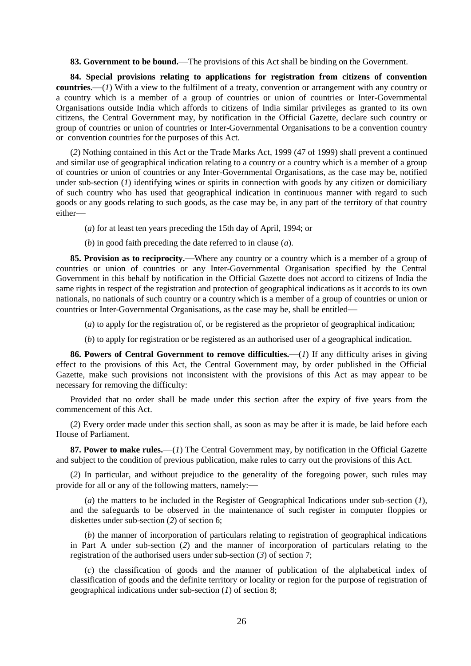**83. Government to be bound.**—The provisions of this Act shall be binding on the Government.

**84. Special provisions relating to applications for registration from citizens of convention countries**.—(*1*) With a view to the fulfilment of a treaty, convention or arrangement with any country or a country which is a member of a group of countries or union of countries or Inter-Governmental Organisations outside India which affords to citizens of India similar privileges as granted to its own citizens, the Central Government may, by notification in the Official Gazette, declare such country or group of countries or union of countries or Inter-Governmental Organisations to be a convention country or convention countries for the purposes of this Act.

(*2*) Nothing contained in this Act or the Trade Marks Act, 1999 (47 of 1999) shall prevent a continued and similar use of geographical indication relating to a country or a country which is a member of a group of countries or union of countries or any Inter-Governmental Organisations, as the case may be, notified under sub-section (*1*) identifying wines or spirits in connection with goods by any citizen or domiciliary of such country who has used that geographical indication in continuous manner with regard to such goods or any goods relating to such goods, as the case may be, in any part of the territory of that country either—

(*a*) for at least ten years preceding the 15th day of April, 1994; or

(*b*) in good faith preceding the date referred to in clause (*a*).

**85. Provision as to reciprocity.**—Where any country or a country which is a member of a group of countries or union of countries or any Inter-Governmental Organisation specified by the Central Government in this behalf by notification in the Official Gazette does not accord to citizens of India the same rights in respect of the registration and protection of geographical indications as it accords to its own nationals, no nationals of such country or a country which is a member of a group of countries or union or countries or Inter-Governmental Organisations, as the case may be, shall be entitled—

(*a*) to apply for the registration of, or be registered as the proprietor of geographical indication;

(*b*) to apply for registration or be registered as an authorised user of a geographical indication.

**86. Powers of Central Government to remove difficulties.**—(*1*) If any difficulty arises in giving effect to the provisions of this Act, the Central Government may, by order published in the Official Gazette, make such provisions not inconsistent with the provisions of this Act as may appear to be necessary for removing the difficulty:

Provided that no order shall be made under this section after the expiry of five years from the commencement of this Act.

(*2*) Every order made under this section shall, as soon as may be after it is made, be laid before each House of Parliament.

**87. Power to make rules.**—(*1*) The Central Government may, by notification in the Official Gazette and subject to the condition of previous publication, make rules to carry out the provisions of this Act.

(*2*) In particular, and without prejudice to the generality of the foregoing power, such rules may provide for all or any of the following matters, namely:—

(*a*) the matters to be included in the Register of Geographical Indications under sub-section (*1*), and the safeguards to be observed in the maintenance of such register in computer floppies or diskettes under sub-section (*2*) of section 6;

(*b*) the manner of incorporation of particulars relating to registration of geographical indications in Part A under sub-section (*2*) and the manner of incorporation of particulars relating to the registration of the authorised users under sub-section (*3*) of section 7;

(*c*) the classification of goods and the manner of publication of the alphabetical index of classification of goods and the definite territory or locality or region for the purpose of registration of geographical indications under sub-section (*1*) of section 8;